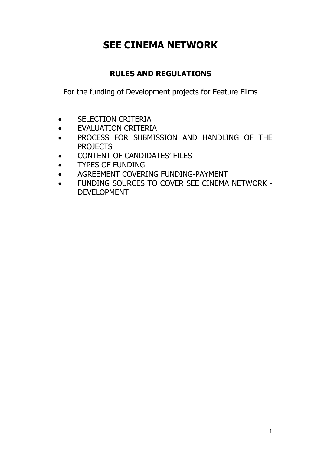# **SEE CINEMA NETWORK**

## **RULES AND REGULATIONS**

For the funding of Development projects for Feature Films

- SELECTION CRITERIA
- EVALUATION CRITERIA
- PROCESS FOR SUBMISSION AND HANDLING OF THE PROJECTS
- CONTENT OF CANDIDATES' FILES
- TYPES OF FUNDING
- AGREEMENT COVERING FUNDING-PAYMENT
- FUNDING SOURCES TO COVER SEE CINEMA NETWORK DEVELOPMENT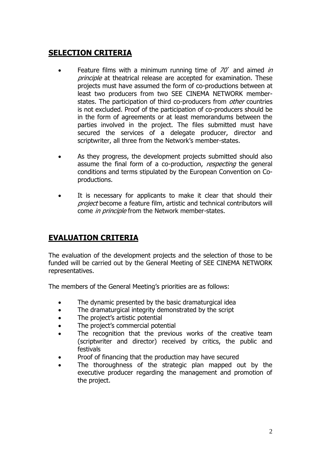## **SELECTION CRITERIA**

- Feature films with a minimum running time of  $70'$  and aimed in principle at theatrical release are accepted for examination. These projects must have assumed the form of co-productions between at least two producers from two SEE CINEMA NETWORK memberstates. The participation of third co-producers from *other* countries is not excluded. Proof of the participation of co-producers should be in the form of agreements or at least memorandums between the parties involved in the project. The files submitted must have secured the services of a delegate producer, director and scriptwriter, all three from the Network's member-states.
- As they progress, the development projects submitted should also assume the final form of a co-production, respecting the general conditions and terms stipulated by the European Convention on Coproductions.
- It is necessary for applicants to make it clear that should their project become a feature film, artistic and technical contributors will come in principle from the Network member-states.

## **EVALUATION CRITERIA**

The evaluation of the development projects and the selection of those to be funded will be carried out by the General Meeting of SEE CINEMA NETWORK representatives.

The members of the General Meeting's priorities are as follows:

- The dynamic presented by the basic dramaturgical idea
- The dramaturgical integrity demonstrated by the script
- The project's artistic potential
- The project's commercial potential
- The recognition that the previous works of the creative team (scriptwriter and director) received by critics, the public and festivals
- Proof of financing that the production may have secured
- The thoroughness of the strategic plan mapped out by the executive producer regarding the management and promotion of the project.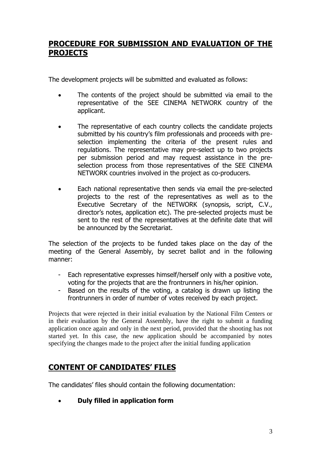#### **PROCEDURE FOR SUBMISSION AND EVALUATION OF THE PROJECTS**

The development projects will be submitted and evaluated as follows:

- The contents of the project should be submitted via email to the representative of the SEE CINEMA NETWORK country of the applicant.
- The representative of each country collects the candidate projects submitted by his country's film professionals and proceeds with preselection implementing the criteria of the present rules and regulations. The representative may pre-select up to two projects per submission period and may request assistance in the preselection process from those representatives of the SEE CINEMA NETWORK countries involved in the project as co-producers.
- Each national representative then sends via email the pre-selected projects to the rest of the representatives as well as to the Executive Secretary of the NETWORK (synopsis, script, C.V., director's notes, application etc). The pre-selected projects must be sent to the rest of the representatives at the definite date that will be announced by the Secretariat.

The selection of the projects to be funded takes place on the day of the meeting of the General Assembly, by secret ballot and in the following manner:

- Each representative expresses himself/herself only with a positive vote, voting for the projects that are the frontrunners in his/her opinion.
- Based on the results of the voting, a catalog is drawn up listing the frontrunners in order of number of votes received by each project.

Projects that were rejected in their initial evaluation by the National Film Centers or in their evaluation by the General Assembly, have the right to submit a funding application once again and only in the next period, provided that the shooting has not started yet. In this case, the new application should be accompanied by notes specifying the changes made to the project after the initial funding application

#### **CONTENT OF CANDIDATES' FILES**

The candidates' files should contain the following documentation:

• **Duly filled in application form**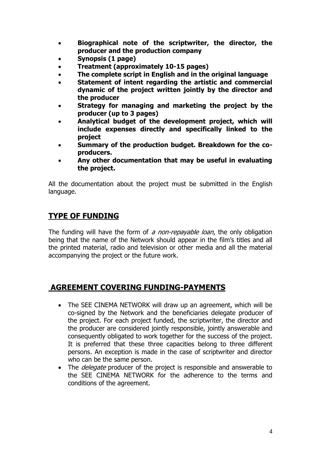- **Biographical note of the scriptwriter, the director, the producer and the production company**
- **Synopsis (1 page)**
- **Treatment (approximately 10-15 pages)**
- **The complete script in English and in the original language**
- **Statement of intent regarding the artistic and commercial dynamic of the project written jointly by the director and the producer**
- **Strategy for managing and marketing the project by the producer (up to 3 pages)**
- **Analytical budget of the development project, which will include expenses directly and specifically linked to the project**
- **Summary of the production budget. Breakdown for the coproducers.**
- **Any other documentation that may be useful in evaluating the project.**

All the documentation about the project must be submitted in the English language.

### **TYPE OF FUNDING**

The funding will have the form of a non-repayable loan, the only obligation being that the name of the Network should appear in the film's titles and all the printed material, radio and television or other media and all the material accompanying the project or the future work.

#### **AGREEMENT COVERING FUNDING-PAYMENTS**

- The SEE CINEMA NETWORK will draw up an agreement, which will be co-signed by the Network and the beneficiaries delegate producer of the project. For each project funded, the scriptwriter, the director and the producer are considered jointly responsible, jointly answerable and consequently obligated to work together for the success of the project. It is preferred that these three capacities belong to three different persons. An exception is made in the case of scriptwriter and director who can be the same person.
- The *delegate* producer of the project is responsible and answerable to the SEE CINEMA NETWORK for the adherence to the terms and conditions of the agreement.